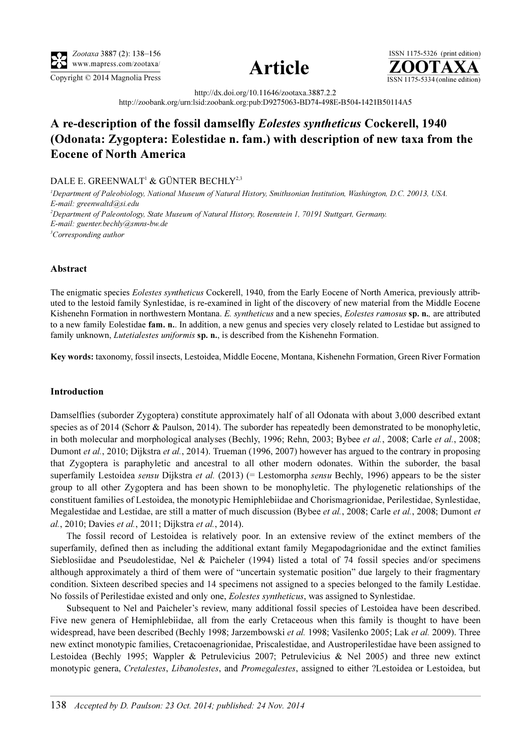





http://dx.doi.org/10.11646/zootaxa.3887.2.2 http://zoobank.org/urn:lsid:zoobank.org:pub:D9275063-BD74-498E-B504-1421B50114A5

# A re-description of the fossil damselfly Eolestes syntheticus Cockerell, 1940 (Odonata: Zygoptera: Eolestidae n. fam.) with description of new taxa from the Eocene of North America

# DALE E. GREENWALT<sup>1</sup> & GÜNTER BECHLY<sup>2,3</sup>

1 Department of Paleobiology, National Museum of Natural History, Smithsonian Institution, Washington, D.C. 20013, USA. E-mail: greenwaltd@si.edu 2 Department of Paleontology, State Museum of Natural History, Rosenstein 1, 70191 Stuttgart, Germany. E-mail: guenter.bechly@smns-bw.de <sup>3</sup>Corresponding author

## Abstract

The enigmatic species Eolestes syntheticus Cockerell, 1940, from the Early Eocene of North America, previously attributed to the lestoid family Synlestidae, is re-examined in light of the discovery of new material from the Middle Eocene Kishenehn Formation in northwestern Montana. E. syntheticus and a new species, Eolestes ramosus sp. n., are attributed to a new family Eolestidae fam. n.. In addition, a new genus and species very closely related to Lestidae but assigned to family unknown, *Lutetialestes uniformis* sp. n., is described from the Kishenehn Formation.

Key words: taxonomy, fossil insects, Lestoidea, Middle Eocene, Montana, Kishenehn Formation, Green River Formation

### Introduction

Damselflies (suborder Zygoptera) constitute approximately half of all Odonata with about 3,000 described extant species as of 2014 (Schorr & Paulson, 2014). The suborder has repeatedly been demonstrated to be monophyletic, in both molecular and morphological analyses (Bechly, 1996; Rehn, 2003; Bybee et al., 2008; Carle et al., 2008; Dumont et al., 2010; Dijkstra et al., 2014). Trueman (1996, 2007) however has argued to the contrary in proposing that Zygoptera is paraphyletic and ancestral to all other modern odonates. Within the suborder, the basal superfamily Lestoidea *sensu* Dijkstra *et al.* (2013) (= Lestomorpha *sensu* Bechly, 1996) appears to be the sister group to all other Zygoptera and has been shown to be monophyletic. The phylogenetic relationships of the constituent families of Lestoidea, the monotypic Hemiphlebiidae and Chorismagrionidae, Perilestidae, Synlestidae, Megalestidae and Lestidae, are still a matter of much discussion (Bybee et al., 2008; Carle et al., 2008; Dumont et al., 2010; Davies et al., 2011; Dijkstra et al., 2014).

The fossil record of Lestoidea is relatively poor. In an extensive review of the extinct members of the superfamily, defined then as including the additional extant family Megapodagrionidae and the extinct families Sieblosiidae and Pseudolestidae, Nel & Paicheler (1994) listed a total of 74 fossil species and/or specimens although approximately a third of them were of "uncertain systematic position" due largely to their fragmentary condition. Sixteen described species and 14 specimens not assigned to a species belonged to the family Lestidae. No fossils of Perilestidae existed and only one, Eolestes syntheticus, was assigned to Synlestidae.

Subsequent to Nel and Paicheler's review, many additional fossil species of Lestoidea have been described. Five new genera of Hemiphlebiidae, all from the early Cretaceous when this family is thought to have been widespread, have been described (Bechly 1998; Jarzembowski et al. 1998; Vasilenko 2005; Lak et al. 2009). Three new extinct monotypic families, Cretacoenagrionidae, Priscalestidae, and Austroperilestidae have been assigned to Lestoidea (Bechly 1995; Wappler & Petrulevicius 2007; Petrulevicius & Nel 2005) and three new extinct monotypic genera, Cretalestes, Libanolestes, and Promegalestes, assigned to either ?Lestoidea or Lestoidea, but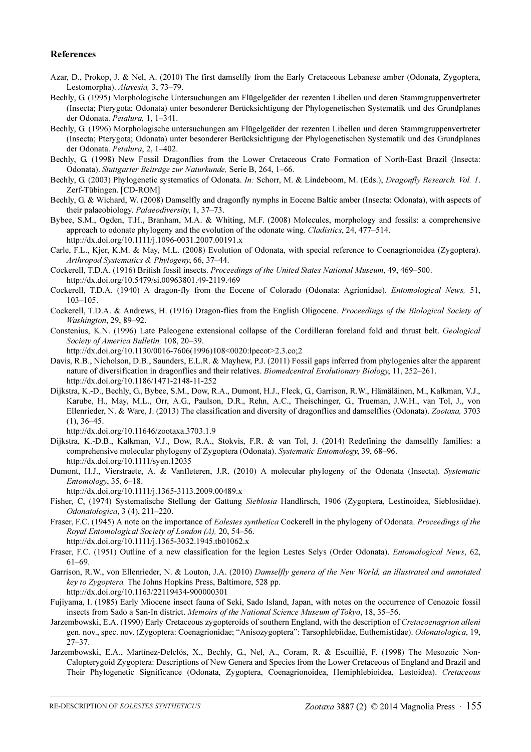#### References

- Azar, D., Prokop, J. & Nel, A. (2010) The first damselfly from the Early Cretaceous Lebanese amber (Odonata, Zygoptera, Lestomorpha). Alavesia, 3, 73–79.
- Bechly, G. (1995) Morphologische Untersuchungen am Flügelgeäder der rezenten Libellen und deren Stammgruppenvertreter (Insecta; Pterygota; Odonata) unter besonderer Berücksichtigung der Phylogenetischen Systematik und des Grundplanes der Odonata. Petalura, 1, 1–341.
- Bechly, G. (1996) Morphologische untersuchungen am Flügelgeäder der rezenten Libellen und deren Stammgruppenvertreter (Insecta; Pterygota; Odonata) unter besonderer Berücksichtigung der Phylogenetischen Systematik und des Grundplanes der Odonata. Petalura, 2, 1–402.
- Bechly, G. (1998) New Fossil Dragonflies from the Lower Cretaceous Crato Formation of North-East Brazil (Insecta: Odonata). Stuttgarter Beiträge zur Naturkunde, Serie B, 264, 1–66.
- Bechly, G. (2003) Phylogenetic systematics of Odonata. In: Schorr, M. & Lindeboom, M. (Eds.), Dragonfly Research. Vol. 1. Zerf-Tübingen. [CD-ROM]
- Bechly, G. & Wichard, W. (2008) Damselfly and dragonfly nymphs in Eocene Baltic amber (Insecta: Odonata), with aspects of their palaeobiology. Palaeodiversity, 1, 37–73.
- Bybee, S.M., Ogden, T.H., Branham, M.A. & Whiting, M.F. (2008) Molecules, morphology and fossils: a comprehensive approach to odonate phylogeny and the evolution of the odonate wing. Cladistics[, 24, 477–514.](http://dx.doi.org/10.1111/j.1096-0031.2007.00191.x) [h](http://dx.doi.org/10.1111/j.1096-0031.2007.00191.x)ttp://dx.doi.org/10.1111/j.1096-0031.2007.00191.x
- Carle, F.L., Kjer, K.M. & May, M.L. (2008) Evolution of Odonata, with special reference to Coenagrionoidea (Zygoptera). Arthropod Systematics & Phylogeny, 66, 37–44.
- Cockerell, T.D.A. (1916) British fossil insects. Proceedings of the United States National Museum[, 49, 469–500.](http://dx.doi.org/10.5479/si.00963801.49-2119.469) [h](http://dx.doi.org/10.5479/si.00963801.49-2119.469)ttp://dx.doi.org/10.5479/si.00963801.49-2119.469
- Cockerell, T.D.A. (1940) A dragon-fly from the Eocene of Colorado (Odonata: Agrionidae). Entomological News, 51, 103–105.
- Cockerell, T.D.A. & Andrews, H. (1916) Dragon-flies from the English Oligocene. Proceedings of the Biological Society of Washington, 29, 89–92.
- Constenius, K.N. (1996) Late Paleogene extensional collapse of the Cordilleran foreland fold and thrust belt. Geological Society of America Bulletin, [108, 20–39.](http://dx.doi.org/10.)
	- [http://dx.doi.org/10.1130/0016-7606\(1996\)108<0020:lpecot>2.3.co;2](http://dx.doi.org/10.1130/0016-7606(1996)108<0020:lpecot>2.3.co;2)
- Davis, R.B., Nicholson, D.B., Saunders, E.L.R. & Mayhew, P.J. (2011) Fossil gaps inferred from phylogenies alter the apparent nature of diversification in dragonflies and their relatives. Biomedcentral Evolutionary Biology[, 11, 252–261.](http://dx.doi.org/10.1186/1471-2148-11-252) [h](http://dx.doi.org/10.1186/1471-2148-11-252)ttp://dx.doi.org/10.1186/1471-2148-11-252
- Dijkstra, K.-D., Bechly, G., Bybee, S.M., Dow, R.A., Dumont, H.J., Fleck, G., Garrison, R.W., Hämäläinen, M., Kalkman, V.J., Karube, H., May, M.L., Orr, A.G., Paulson, D.R., Rehn, A.C., Theischinger, G., Trueman, J.W.H., van Tol, J., von Ellenrieder, N. & Ware, J. (2013) The classification and diversity of dragonflies and damselflies (Odonata). Zootaxa, [3703](http://dx.doi.org/10.11646/zootaxa.3703.1.9)  $(1), 36-45.$ 
	- [h](http://dx.doi.org/10.11646/zootaxa.3703.1.9)ttp://dx.doi.org/10.11646/zootaxa.3703.1.9
- Dijkstra, K.-D.B., Kalkman, V.J., Dow, R.A., Stokvis, F.R. & van Tol, J. (2014) Redefining the damselfly families: a comprehensive molecular phylogeny of Zygoptera (Odonata). Systematic Entomology[, 39, 68–96.](http://dx.doi.org/10.1111/syen.12035) [h](http://dx.doi.org/10.1111/syen.12035)ttp://dx.doi.org/10.1111/syen.12035
- Dumont, H.J., Vierstraete, A. & Vanfleteren, J.R. (2010) A molecular phylogeny of the Odonata (Insecta). Systematic Entomology[, 35, 6–18.](http://dx.doi.org/10.1111/j.1365-3113.2009.00489.x)
	- [h](http://dx.doi.org/10.1111/j.1365-3113.2009.00489.x)ttp://dx.doi.org/10.1111/j.1365-3113.2009.00489.x
- Fisher, C, (1974) Systematische Stellung der Gattung Sieblosia Handlirsch, 1906 (Zygoptera, Lestinoidea, Sieblosiidae). Odonatologica, 3 (4), 211–220.
- Fraser, F.C. (1945) A note on the importance of Eolestes synthetica Cockerell in the phylogeny of Odonata. Proceedings of the Royal Entomological Society of London (A), [20, 54–56.](http://dx.doi.org/10.1111/j.1365-3032.1945.tb01062.x)
	- [h](http://dx.doi.org/10.1111/j.1365-3032.1945.tb01062.x)ttp://dx.doi.org/10.1111/j.1365-3032.1945.tb01062.x
- Fraser, F.C. (1951) Outline of a new classification for the legion Lestes Selys (Order Odonata). Entomological News, 62, 61–69.
- Garrison, R.W., von Ellenrieder, N. & Louton, J.A. (2010) Damselfly genera of the New World, an illustrated and annotated key to Zygoptera. The Johns Hopkins Press, Baltimore, 528 pp. <http://dx.doi.org/10.1163/22119434-900000301>
- Fujiyama, I. (1985) Early Miocene insect fauna of Seki, Sado Island, Japan, with notes on the occurrence of Cenozoic fossil insects from Sado a San-In district. Memoirs of the National Science Museum of Tokyo, 18, 35–56.
- Jarzembowski, E.A. (1990) Early Cretaceous zygopteroids of southern England, with the description of Cretacoenagrion alleni gen. nov., spec. nov. (Zygoptera: Coenagrionidae; "Anisozygoptera": Tarsophlebiidae, Euthemistidae). Odonatologica, 19, 27–37.
- Jarzembowski, E.A., Martínez-Delclós, X., Bechly, G., Nel, A., Coram, R. & Escuillié, F. (1998) The Mesozoic Non-Calopterygoid Zygoptera: Descriptions of New Genera and Species from the Lower Cretaceous of England and Brazil and Their Phylogenetic Significance (Odonata, Zygoptera, Coenagrionoidea, Hemiphlebioidea, Lestoidea). Cretaceous